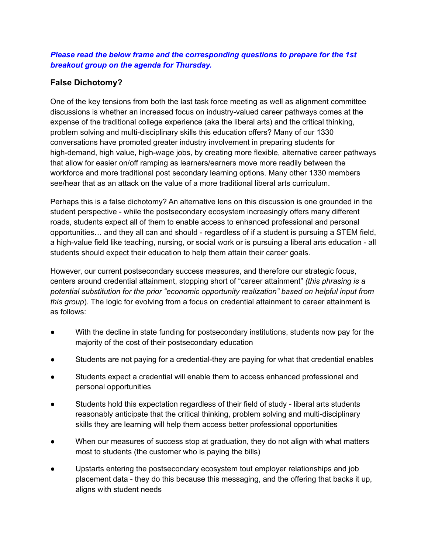## *Please read the below frame and the corresponding questions to prepare for the 1st breakout group on the agenda for Thursday.*

## **False Dichotomy?**

One of the key tensions from both the last task force meeting as well as alignment committee discussions is whether an increased focus on industry-valued career pathways comes at the expense of the traditional college experience (aka the liberal arts) and the critical thinking, problem solving and multi-disciplinary skills this education offers? Many of our 1330 conversations have promoted greater industry involvement in preparing students for high-demand, high value, high-wage jobs, by creating more flexible, alternative career pathways that allow for easier on/off ramping as learners/earners move more readily between the workforce and more traditional post secondary learning options. Many other 1330 members see/hear that as an attack on the value of a more traditional liberal arts curriculum.

Perhaps this is a false dichotomy? An alternative lens on this discussion is one grounded in the student perspective - while the postsecondary ecosystem increasingly offers many different roads, students expect all of them to enable access to enhanced professional and personal opportunities… and they all can and should - regardless of if a student is pursuing a STEM field, a high-value field like teaching, nursing, or social work or is pursuing a liberal arts education - all students should expect their education to help them attain their career goals.

However, our current postsecondary success measures, and therefore our strategic focus, centers around credential attainment, stopping short of "career attainment" *(this phrasing is a potential substitution for the prior "economic opportunity realization" based on helpful input from this group*). The logic for evolving from a focus on credential attainment to career attainment is as follows:

- With the decline in state funding for postsecondary institutions, students now pay for the majority of the cost of their postsecondary education
- Students are not paying for a credential-they are paying for what that credential enables
- Students expect a credential will enable them to access enhanced professional and personal opportunities
- Students hold this expectation regardless of their field of study liberal arts students reasonably anticipate that the critical thinking, problem solving and multi-disciplinary skills they are learning will help them access better professional opportunities
- When our measures of success stop at graduation, they do not align with what matters most to students (the customer who is paying the bills)
- Upstarts entering the postsecondary ecosystem tout employer relationships and job placement data - they do this because this messaging, and the offering that backs it up, aligns with student needs